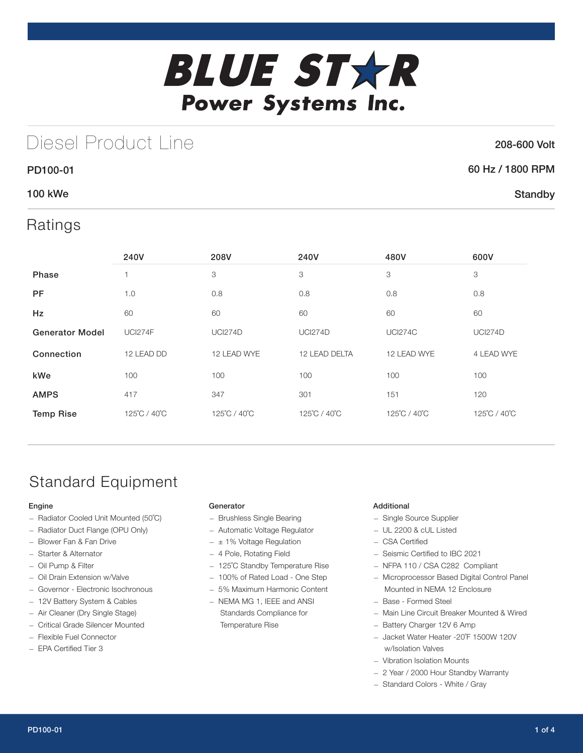

## Diesel Product Line

### 208-600 Volt

**Standby** 

# 60 Hz / 1800 RPM

### 100 kWe

PD100-01

### Ratings

|                        | 240V           | 208V           | 240V           | 480V           | 600V           |
|------------------------|----------------|----------------|----------------|----------------|----------------|
| Phase                  |                | 3              | 3              | 3              | 3              |
| <b>PF</b>              | 1.0            | 0.8            | 0.8            | 0.8            | 0.8            |
| <b>Hz</b>              | 60             | 60             | 60             | 60             | 60             |
| <b>Generator Model</b> | <b>UCI274F</b> | <b>UCI274D</b> | <b>UCI274D</b> | <b>UCI274C</b> | <b>UCI274D</b> |
| Connection             | 12 LEAD DD     | 12 LEAD WYE    | 12 LEAD DELTA  | 12 LEAD WYE    | 4 LEAD WYE     |
| kWe                    | 100            | 100            | 100            | 100            | 100            |
| <b>AMPS</b>            | 417            | 347            | 301            | 151            | 120            |
| <b>Temp Rise</b>       | 125°C / 40°C   | 125°C / 40°C   | 125°C / 40°C   | 125°C / 40°C   | 125°C / 40°C   |

## Standard Equipment

### Engine

- Radiator Cooled Unit Mounted (50˚C)
- Radiator Duct Flange (OPU Only)
- Blower Fan & Fan Drive
- Starter & Alternator
- Oil Pump & Filter
- Oil Drain Extension w/Valve
- Governor Electronic Isochronous
- 12V Battery System & Cables
- Air Cleaner (Dry Single Stage)
- Critical Grade Silencer Mounted
- Flexible Fuel Connector
- EPA Certified Tier 3

### Generator

- Brushless Single Bearing
- Automatic Voltage Regulator
- $\pm$  1% Voltage Regulation
- 4 Pole, Rotating Field
- 125˚C Standby Temperature Rise
- 100% of Rated Load One Step
- 5% Maximum Harmonic Content
- NEMA MG 1, IEEE and ANSI Standards Compliance for Temperature Rise

### Additional

- Single Source Supplier
- UL 2200 & cUL Listed
- CSA Certified
- Seismic Certified to IBC 2021
- NFPA 110 / CSA C282 Compliant
- Microprocessor Based Digital Control Panel Mounted in NEMA 12 Enclosure
- Base Formed Steel
- Main Line Circuit Breaker Mounted & Wired
- Battery Charger 12V 6 Amp
- Jacket Water Heater -20˚F 1500W 120V w/Isolation Valves
- Vibration Isolation Mounts
- 2 Year / 2000 Hour Standby Warranty
- Standard Colors White / Gray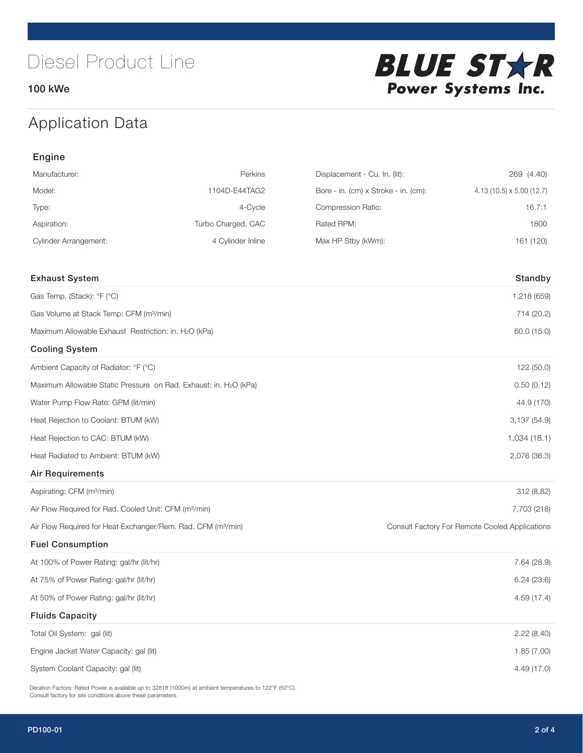100 kWe



## Application Data

| Engine                                                                   |                    |                                      |                                                |  |  |
|--------------------------------------------------------------------------|--------------------|--------------------------------------|------------------------------------------------|--|--|
| Manufacturer:                                                            | Perkins            | Displacement - Cu. In. (lit):        | 269 (4.40)                                     |  |  |
| Model:                                                                   | 1104D-E44TAG2      | Bore - in. (cm) x Stroke - in. (cm): | $4.13(10.5) \times 5.00(12.7)$                 |  |  |
| Type:                                                                    | 4-Cycle            | Compression Ratio:                   | 16.7:1                                         |  |  |
| Aspiration:                                                              | Turbo Charged, CAC | Rated RPM:                           | 1800                                           |  |  |
| <b>Cylinder Arrangement:</b>                                             | 4 Cylinder Inline  | Max HP Stby (kWm):                   | 161 (120)                                      |  |  |
| <b>Exhaust System</b>                                                    |                    |                                      | Standby                                        |  |  |
| Gas Temp. (Stack): °F (°C)                                               |                    |                                      | 1,218 (659)                                    |  |  |
| Gas Volume at Stack Temp: CFM (m <sup>3</sup> /min)                      |                    |                                      | 714 (20.2)                                     |  |  |
| Maximum Allowable Exhaust Restriction: in. H2O (kPa)                     |                    |                                      | 60.0 (15.0)                                    |  |  |
| <b>Cooling System</b>                                                    |                    |                                      |                                                |  |  |
| Ambient Capacity of Radiator: °F (°C)                                    |                    |                                      | 122 (50.0)                                     |  |  |
| Maximum Allowable Static Pressure on Rad. Exhaust: in. H2O (kPa)         |                    |                                      | 0.50(0.12)                                     |  |  |
| Water Pump Flow Rate: GPM (lit/min)                                      |                    |                                      | 44.9 (170)                                     |  |  |
| Heat Rejection to Coolant: BTUM (kW)                                     |                    |                                      | 3,137(54.9)                                    |  |  |
| Heat Rejection to CAC: BTUM (kW)                                         |                    |                                      | 1,034(18.1)                                    |  |  |
| Heat Radiated to Ambient: BTUM (kW)                                      |                    |                                      | 2,076 (36.3)                                   |  |  |
| <b>Air Requirements</b>                                                  |                    |                                      |                                                |  |  |
| Aspirating: CFM (m <sup>3</sup> /min)                                    |                    |                                      | 312 (8.82)                                     |  |  |
| Air Flow Required for Rad. Cooled Unit: CFM (m <sup>3</sup> /min)        |                    |                                      | 7,703 (218)                                    |  |  |
| Air Flow Required for Heat Exchanger/Rem. Rad. CFM (m <sup>3</sup> /min) |                    |                                      | Consult Factory For Remote Cooled Applications |  |  |
| <b>Fuel Consumption</b>                                                  |                    |                                      |                                                |  |  |
| At 100% of Power Rating: gal/hr (lit/hr)                                 |                    |                                      | 7.64 (28.9)                                    |  |  |
| At 75% of Power Rating: gal/hr (lit/hr)                                  |                    |                                      | 6.24(23.6)                                     |  |  |
| At 50% of Power Rating: gal/hr (lit/hr)                                  |                    |                                      | 4.59 (17.4)                                    |  |  |
| <b>Fluids Capacity</b>                                                   |                    |                                      |                                                |  |  |
| Total Oil System: gal (lit)                                              |                    |                                      | 2.22(8.40)                                     |  |  |
| Engine Jacket Water Capacity: gal (lit)                                  |                    |                                      | 1.85(7.00)                                     |  |  |
| System Coolant Capacity: gal (lit)                                       |                    |                                      | 4.49 (17.0)                                    |  |  |

Deration Factors: Rated Power is available up to 3281ft (1000m) at ambient temperatures to 122°F (50°C). Consult factory for site conditions above these parameters.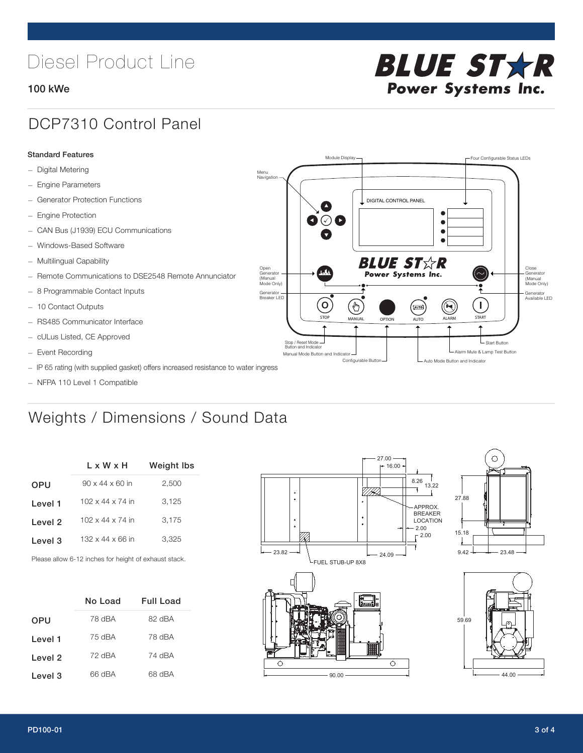# Diesel Product Line

### 100 kWe



## DCP7310 Control Panel

#### Standard Features

- Digital Metering
- Engine Parameters
- Generator Protection Functions
- Engine Protection
- CAN Bus (J1939) ECU Communications
- Windows-Based Software
- Multilingual Capability
- Remote Communications to DSE2548 Remote Annunciator
- 8 Programmable Contact Inputs
- 10 Contact Outputs
- RS485 Communicator Interface
- cULus Listed, CE Approved
- Event Recording
- IP 65 rating (with supplied gasket) offers increased resistance to water ingress
- NFPA 110 Level 1 Compatible

## Weights / Dimensions / Sound Data

|            | L x W x H                    | <b>Weight Ibs</b> |  |  |
|------------|------------------------------|-------------------|--|--|
| <b>OPU</b> | $90 \times 44 \times 60$ in  | 2,500             |  |  |
| Level 1    | $102 \times 44 \times 74$ in | 3.125             |  |  |
| Level 2    | $102 \times 44 \times 74$ in | 3,175             |  |  |
| Level 3    | $132 \times 44 \times 66$ in | 3,325             |  |  |
|            |                              |                   |  |  |

Please allow 6-12 inches for height of exhaust stack.

|         | No Load | Full Load |  |  |
|---------|---------|-----------|--|--|
| OPU     | 78 dBA  | 82 dBA    |  |  |
| Level 1 | 75 dBA  | 78 dBA    |  |  |
| Level 2 | 72 dBA  | 74 dBA    |  |  |
| Level 3 | 66 dBA  | 68 dBA    |  |  |



STOP MANUAL OPTION AUTO ALARM START

[AUTO]

**BLUE STAR** Power Systems Inc.

Manual Mode Button and Indicator Sultane Mute & Lamp Test Button Mute & Lamp Test Button Mute & Lamp Test Button Configurable Button -  $\Box$  Auto Mode Button and Indicator

DIGITAL CONTROL PANEL

Module Display  $\Box$ 

 $\bullet$  $\bullet$  $\bullet$ 

 $\circledcirc$ 

Menu Navigation

Open Generator (Manual Mode Only)

Generator Breaker LED

Stop / Reset Mode Button and Indicator

 $\bullet$  $\bullet$   $\circ$   $\bullet$ 

 $\sigma$ 

՟Պ



L Start Button

 $\blacksquare$ 

Close Generator (Manual Mode Only)

Generator Available LED